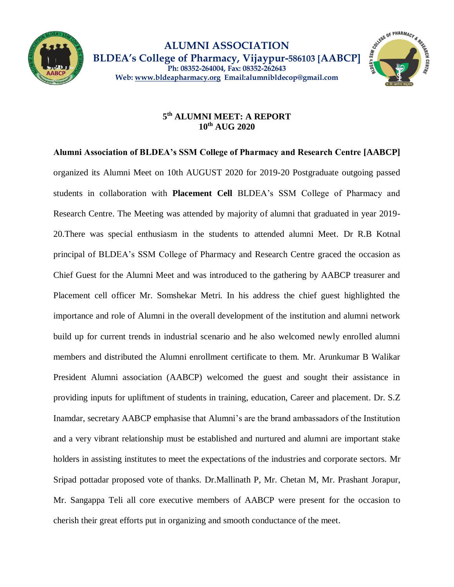



## **5 th ALUMNI MEET: A REPORT 10th AUG 2020**

**Alumni Association of BLDEA's SSM College of Pharmacy and Research Centre [AABCP]**  organized its Alumni Meet on 10th AUGUST 2020 for 2019-20 Postgraduate outgoing passed students in collaboration with **Placement Cell** BLDEA's SSM College of Pharmacy and Research Centre. The Meeting was attended by majority of alumni that graduated in year 2019- 20.There was special enthusiasm in the students to attended alumni Meet. Dr R.B Kotnal principal of BLDEA's SSM College of Pharmacy and Research Centre graced the occasion as Chief Guest for the Alumni Meet and was introduced to the gathering by AABCP treasurer and Placement cell officer Mr. Somshekar Metri. In his address the chief guest highlighted the importance and role of Alumni in the overall development of the institution and alumni network build up for current trends in industrial scenario and he also welcomed newly enrolled alumni members and distributed the Alumni enrollment certificate to them. Mr. Arunkumar B Walikar President Alumni association (AABCP) welcomed the guest and sought their assistance in providing inputs for upliftment of students in training, education, Career and placement. Dr. S.Z Inamdar, secretary AABCP emphasise that Alumni's are the brand ambassadors of the Institution and a very vibrant relationship must be established and nurtured and alumni are important stake holders in assisting institutes to meet the expectations of the industries and corporate sectors. Mr Sripad pottadar proposed vote of thanks. Dr.Mallinath P, Mr. Chetan M, Mr. Prashant Jorapur, Mr. Sangappa Teli all core executive members of AABCP were present for the occasion to cherish their great efforts put in organizing and smooth conductance of the meet.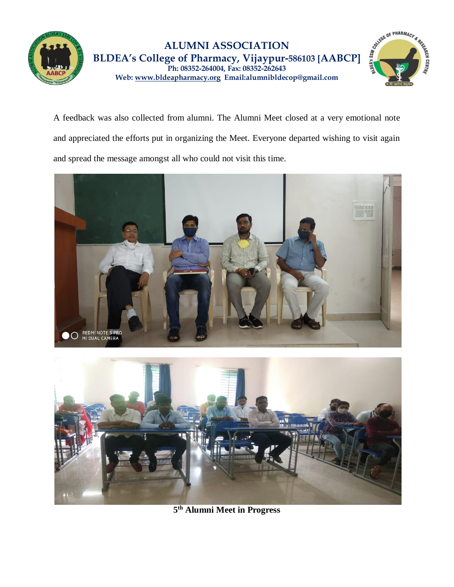



A feedback was also collected from alumni. The Alumni Meet closed at a very emotional note and appreciated the efforts put in organizing the Meet. Everyone departed wishing to visit again and spread the message amongst all who could not visit this time.





**5 th Alumni Meet in Progress**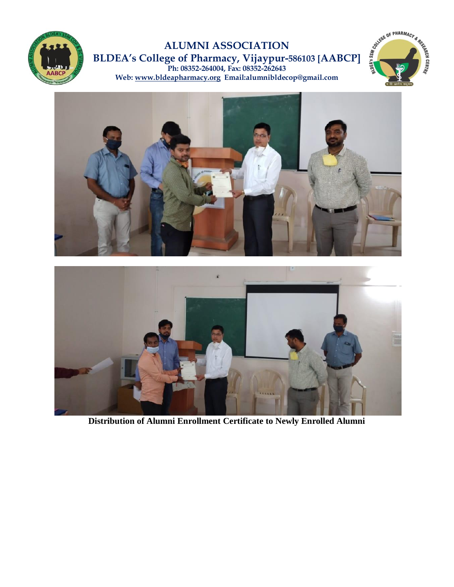

## **ALUMNI ASSOCIATION BLDEA's College of Pharmacy, Vijaypur-586103 [AABCP] Ph: 08352-264004, Fax: 08352-262643 Web: [www.bldeapharmacy.org](http://www.bldeapharmacy.org/) Email:alumnibldecop@gmail.com**







**Distribution of Alumni Enrollment Certificate to Newly Enrolled Alumni**